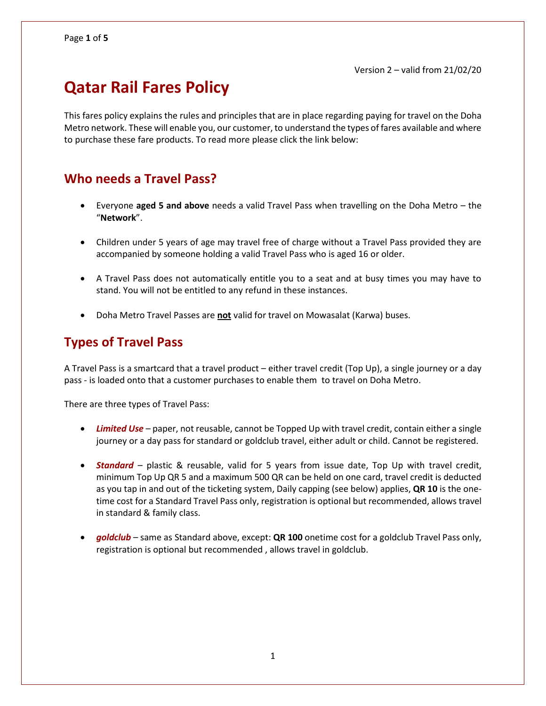# **Qatar Rail Fares Policy**

This fares policy explains the rules and principles that are in place regarding paying for travel on the Doha Metro network. These will enable you, our customer, to understand the types of fares available and where to purchase these fare products. To read more please click the link below:

## **Who needs a Travel Pass?**

- Everyone **aged 5 and above** needs a valid Travel Pass when travelling on the Doha Metro the "**Network**".
- Children under 5 years of age may travel free of charge without a Travel Pass provided they are accompanied by someone holding a valid Travel Pass who is aged 16 or older.
- A Travel Pass does not automatically entitle you to a seat and at busy times you may have to stand. You will not be entitled to any refund in these instances.
- Doha Metro Travel Passes are **not** valid for travel on Mowasalat (Karwa) buses.

## **Types of Travel Pass**

A Travel Pass is a smartcard that a travel product – either travel credit (Top Up), a single journey or a day pass - is loaded onto that a customer purchases to enable them to travel on Doha Metro.

There are three types of Travel Pass:

- *Limited Use* paper, not reusable, cannot be Topped Up with travel credit, contain either a single journey or a day pass for standard or goldclub travel, either adult or child. Cannot be registered.
- *Standard* plastic & reusable, valid for 5 years from issue date, Top Up with travel credit, minimum Top Up QR 5 and a maximum 500 QR can be held on one card, travel credit is deducted as you tap in and out of the ticketing system, Daily capping (see below) applies, **QR 10** is the onetime cost for a Standard Travel Pass only, registration is optional but recommended, allows travel in standard & family class.
- *goldclub* same as Standard above, except: **QR 100** onetime cost for a goldclub Travel Pass only, registration is optional but recommended , allows travel in goldclub.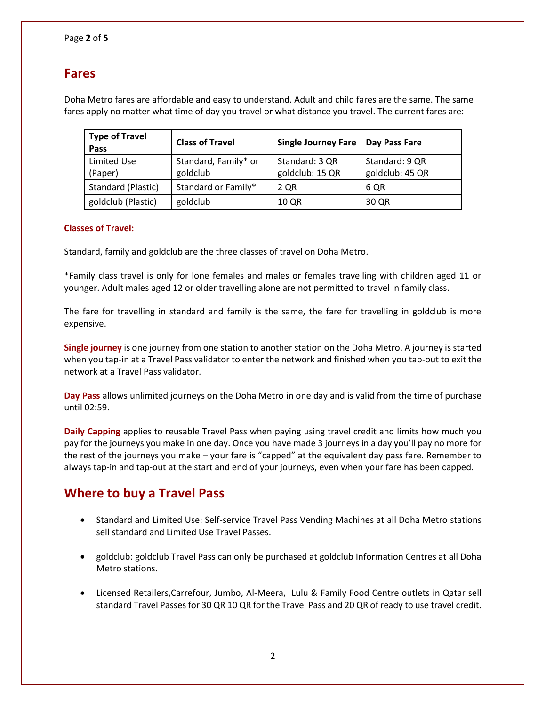## **Fares**

Doha Metro fares are affordable and easy to understand. Adult and child fares are the same. The same fares apply no matter what time of day you travel or what distance you travel. The current fares are:

| <b>Type of Travel</b><br>Pass | <b>Class of Travel</b>           | Single Journey Fare               | Day Pass Fare                     |
|-------------------------------|----------------------------------|-----------------------------------|-----------------------------------|
| Limited Use<br>(Paper)        | Standard, Family* or<br>goldclub | Standard: 3 QR<br>goldclub: 15 QR | Standard: 9 QR<br>goldclub: 45 QR |
| Standard (Plastic)            | Standard or Family*              | 2 QR                              | 6 QR                              |
| goldclub (Plastic)            | goldclub                         | 10 QR                             | 30 QR                             |

### **Classes of Travel:**

Standard, family and goldclub are the three classes of travel on Doha Metro.

\*Family class travel is only for lone females and males or females travelling with children aged 11 or younger. Adult males aged 12 or older travelling alone are not permitted to travel in family class.

The fare for travelling in standard and family is the same, the fare for travelling in goldclub is more expensive.

**Single journey** is one journey from one station to another station on the Doha Metro. A journey is started when you tap-in at a Travel Pass validator to enter the network and finished when you tap-out to exit the network at a Travel Pass validator.

**Day Pass** allows unlimited journeys on the Doha Metro in one day and is valid from the time of purchase until 02:59.

**Daily Capping** applies to reusable Travel Pass when paying using travel credit and limits how much you pay for the journeys you make in one day. Once you have made 3 journeys in a day you'll pay no more for the rest of the journeys you make – your fare is "capped" at the equivalent day pass fare. Remember to always tap-in and tap-out at the start and end of your journeys, even when your fare has been capped.

## **Where to buy a Travel Pass**

- Standard and Limited Use: Self-service Travel Pass Vending Machines at all Doha Metro stations sell standard and Limited Use Travel Passes.
- goldclub: goldclub Travel Pass can only be purchased at goldclub Information Centres at all Doha Metro stations.
- Licensed Retailers,Carrefour, Jumbo, Al-Meera, Lulu & Family Food Centre outlets in Qatar sell standard Travel Passes for 30 QR 10 QR for the Travel Pass and 20 QR of ready to use travel credit.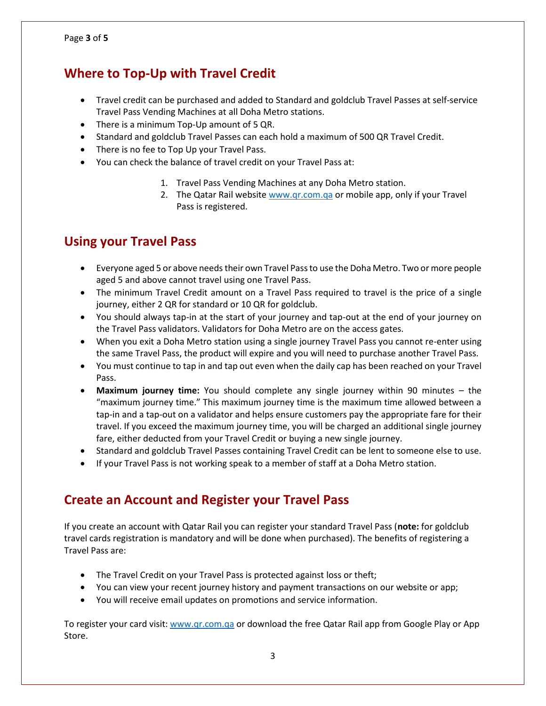## **Where to Top-Up with Travel Credit**

- Travel credit can be purchased and added to Standard and goldclub Travel Passes at self-service Travel Pass Vending Machines at all Doha Metro stations.
- There is a minimum Top-Up amount of 5 QR.
- Standard and goldclub Travel Passes can each hold a maximum of 500 QR Travel Credit.
- There is no fee to Top Up your Travel Pass.
- You can check the balance of travel credit on your Travel Pass at:
	- 1. Travel Pass Vending Machines at any Doha Metro station.
	- 2. The Qatar Rail websit[e www.qr.com.qa](http://www.qr.com.qa/) or mobile app, only if your Travel Pass is registered.

## **Using your Travel Pass**

- Everyone aged 5 or above needs their own Travel Pass to use the Doha Metro. Two or more people aged 5 and above cannot travel using one Travel Pass.
- The minimum Travel Credit amount on a Travel Pass required to travel is the price of a single journey, either 2 QR for standard or 10 QR for goldclub.
- You should always tap-in at the start of your journey and tap-out at the end of your journey on the Travel Pass validators. Validators for Doha Metro are on the access gates.
- When you exit a Doha Metro station using a single journey Travel Pass you cannot re-enter using the same Travel Pass, the product will expire and you will need to purchase another Travel Pass.
- You must continue to tap in and tap out even when the daily cap has been reached on your Travel Pass.
- **Maximum journey time:** You should complete any single journey within 90 minutes the "maximum journey time." This maximum journey time is the maximum time allowed between a tap-in and a tap-out on a validator and helps ensure customers pay the appropriate fare for their travel. If you exceed the maximum journey time, you will be charged an additional single journey fare, either deducted from your Travel Credit or buying a new single journey.
- Standard and goldclub Travel Passes containing Travel Credit can be lent to someone else to use.
- If your Travel Pass is not working speak to a member of staff at a Doha Metro station.

## **Create an Account and Register your Travel Pass**

If you create an account with Qatar Rail you can register your standard Travel Pass (**note:** for goldclub travel cards registration is mandatory and will be done when purchased). The benefits of registering a Travel Pass are:

- The Travel Credit on your Travel Pass is protected against loss or theft;
- You can view your recent journey history and payment transactions on our website or app;
- You will receive email updates on promotions and service information.

To register your card visit: [www.qr.com.qa](http://www.qr.com.qa/) or download the free Qatar Rail app from Google Play or App Store.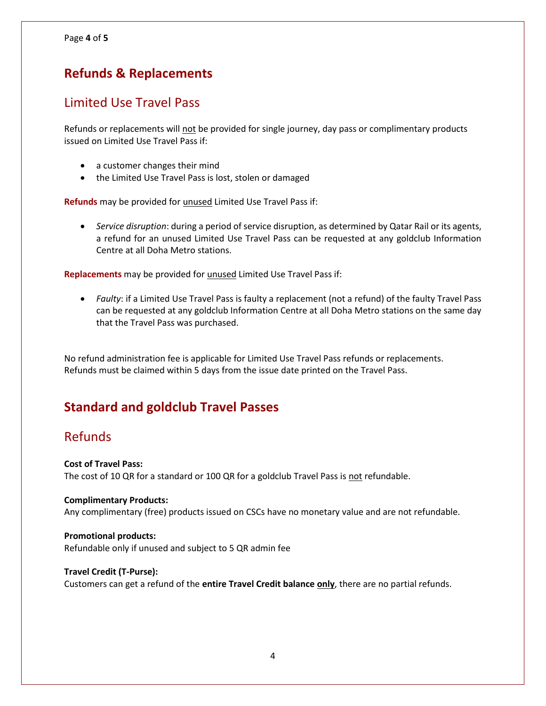## **Refunds & Replacements**

### Limited Use Travel Pass

Refunds or replacements will not be provided for single journey, day pass or complimentary products issued on Limited Use Travel Pass if:

- a customer changes their mind
- the Limited Use Travel Pass is lost, stolen or damaged

**Refunds** may be provided for unused Limited Use Travel Pass if:

 *Service disruption*: during a period of service disruption, as determined by Qatar Rail or its agents, a refund for an unused Limited Use Travel Pass can be requested at any goldclub Information Centre at all Doha Metro stations.

**Replacements** may be provided for unused Limited Use Travel Pass if:

 *Faulty*: if a Limited Use Travel Pass is faulty a replacement (not a refund) of the faulty Travel Pass can be requested at any goldclub Information Centre at all Doha Metro stations on the same day that the Travel Pass was purchased.

No refund administration fee is applicable for Limited Use Travel Pass refunds or replacements. Refunds must be claimed within 5 days from the issue date printed on the Travel Pass.

## **Standard and goldclub Travel Passes**

### Refunds

### **Cost of Travel Pass:**

The cost of 10 QR for a standard or 100 QR for a goldclub Travel Pass is not refundable.

### **Complimentary Products:**

Any complimentary (free) products issued on CSCs have no monetary value and are not refundable.

### **Promotional products:**

Refundable only if unused and subject to 5 QR admin fee

### **Travel Credit (T-Purse):**

Customers can get a refund of the **entire Travel Credit balance only**, there are no partial refunds.